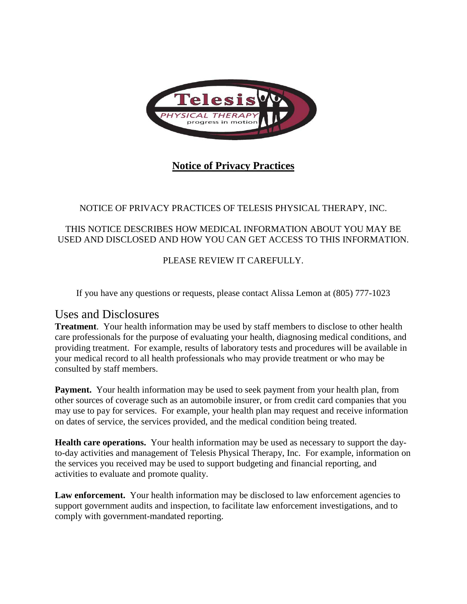

# **Notice of Privacy Practices**

## NOTICE OF PRIVACY PRACTICES OF TELESIS PHYSICAL THERAPY, INC.

### THIS NOTICE DESCRIBES HOW MEDICAL INFORMATION ABOUT YOU MAY BE USED AND DISCLOSED AND HOW YOU CAN GET ACCESS TO THIS INFORMATION.

## PLEASE REVIEW IT CAREFULLY.

If you have any questions or requests, please contact Alissa Lemon at (805) 777-1023

## Uses and Disclosures

**Treatment**. Your health information may be used by staff members to disclose to other health care professionals for the purpose of evaluating your health, diagnosing medical conditions, and providing treatment. For example, results of laboratory tests and procedures will be available in your medical record to all health professionals who may provide treatment or who may be consulted by staff members.

Payment. Your health information may be used to seek payment from your health plan, from other sources of coverage such as an automobile insurer, or from credit card companies that you may use to pay for services. For example, your health plan may request and receive information on dates of service, the services provided, and the medical condition being treated.

**Health care operations.** Your health information may be used as necessary to support the dayto-day activities and management of Telesis Physical Therapy, Inc. For example, information on the services you received may be used to support budgeting and financial reporting, and activities to evaluate and promote quality.

Law enforcement. Your health information may be disclosed to law enforcement agencies to support government audits and inspection, to facilitate law enforcement investigations, and to comply with government-mandated reporting.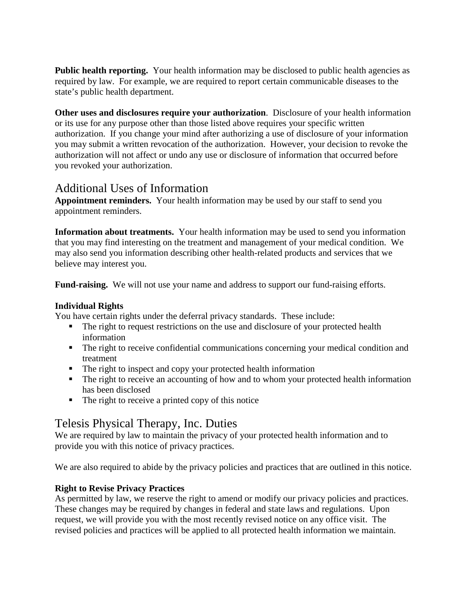**Public health reporting.** Your health information may be disclosed to public health agencies as required by law. For example, we are required to report certain communicable diseases to the state's public health department.

**Other uses and disclosures require your authorization**. Disclosure of your health information or its use for any purpose other than those listed above requires your specific written authorization. If you change your mind after authorizing a use of disclosure of your information you may submit a written revocation of the authorization. However, your decision to revoke the authorization will not affect or undo any use or disclosure of information that occurred before you revoked your authorization.

# Additional Uses of Information

**Appointment reminders.** Your health information may be used by our staff to send you appointment reminders.

**Information about treatments.** Your health information may be used to send you information that you may find interesting on the treatment and management of your medical condition. We may also send you information describing other health-related products and services that we believe may interest you.

**Fund-raising.** We will not use your name and address to support our fund-raising efforts.

### **Individual Rights**

You have certain rights under the deferral privacy standards. These include:

- The right to request restrictions on the use and disclosure of your protected health information
- The right to receive confidential communications concerning your medical condition and treatment
- The right to inspect and copy your protected health information
- The right to receive an accounting of how and to whom your protected health information has been disclosed
- The right to receive a printed copy of this notice

# Telesis Physical Therapy, Inc. Duties

We are required by law to maintain the privacy of your protected health information and to provide you with this notice of privacy practices.

We are also required to abide by the privacy policies and practices that are outlined in this notice.

## **Right to Revise Privacy Practices**

As permitted by law, we reserve the right to amend or modify our privacy policies and practices. These changes may be required by changes in federal and state laws and regulations. Upon request, we will provide you with the most recently revised notice on any office visit. The revised policies and practices will be applied to all protected health information we maintain.